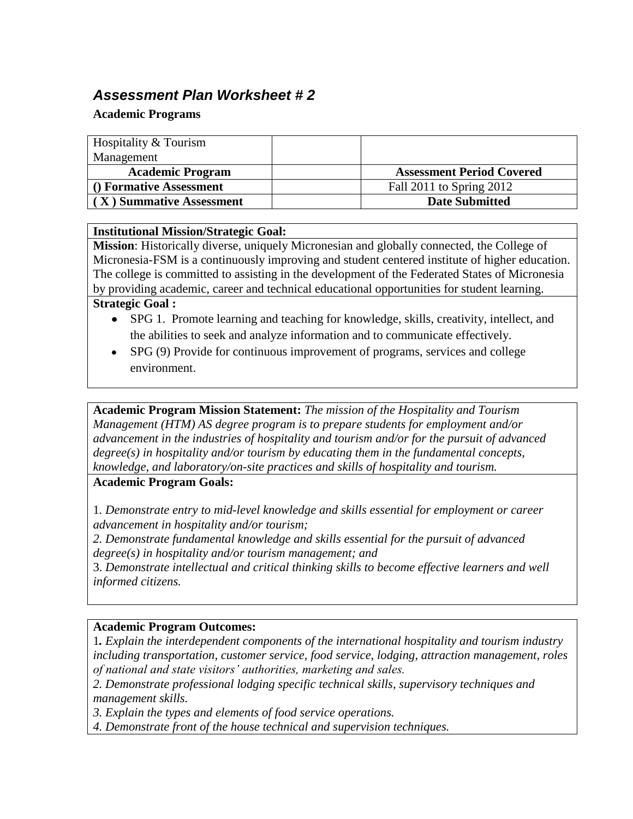# *Assessment Plan Worksheet # 2*

# **Academic Programs**

| Hospitality & Tourism    |                                  |
|--------------------------|----------------------------------|
| Management               |                                  |
| <b>Academic Program</b>  | <b>Assessment Period Covered</b> |
| () Formative Assessment  | Fall 2011 to Spring 2012         |
| (X) Summative Assessment | <b>Date Submitted</b>            |

#### **Institutional Mission/Strategic Goal:**

**Mission**: Historically diverse, uniquely Micronesian and globally connected, the College of Micronesia-FSM is a continuously improving and student centered institute of higher education. The college is committed to assisting in the development of the Federated States of Micronesia by providing academic, career and technical educational opportunities for student learning.

#### **Strategic Goal :**

- SPG 1. Promote learning and teaching for knowledge, skills, creativity, intellect, and the abilities to seek and analyze information and to communicate effectively.
- SPG (9) Provide for continuous improvement of programs, services and college environment.

**Academic Program Mission Statement:** *The mission of the Hospitality and Tourism Management (HTM) AS degree program is to prepare students for employment and/or advancement in the industries of hospitality and tourism and/or for the pursuit of advanced degree(s) in hospitality and/or tourism by educating them in the fundamental concepts, knowledge, and laboratory/on-site practices and skills of hospitality and tourism.*

## **Academic Program Goals:**

1*. Demonstrate entry to mid-level knowledge and skills essential for employment or career advancement in hospitality and/or tourism;*

*2. Demonstrate fundamental knowledge and skills essential for the pursuit of advanced degree(s) in hospitality and/or tourism management; and* 

3. *Demonstrate intellectual and critical thinking skills to become effective learners and well informed citizens.*

## **Academic Program Outcomes:**

1*. Explain the interdependent components of the international hospitality and tourism industry including transportation, customer service, food service, lodging, attraction management, roles of national and state visitors' authorities, marketing and sales.*

*2. Demonstrate professional lodging specific technical skills, supervisory techniques and management skills.*

*3. Explain the types and elements of food service operations.*

*4. Demonstrate front of the house technical and supervision techniques.*